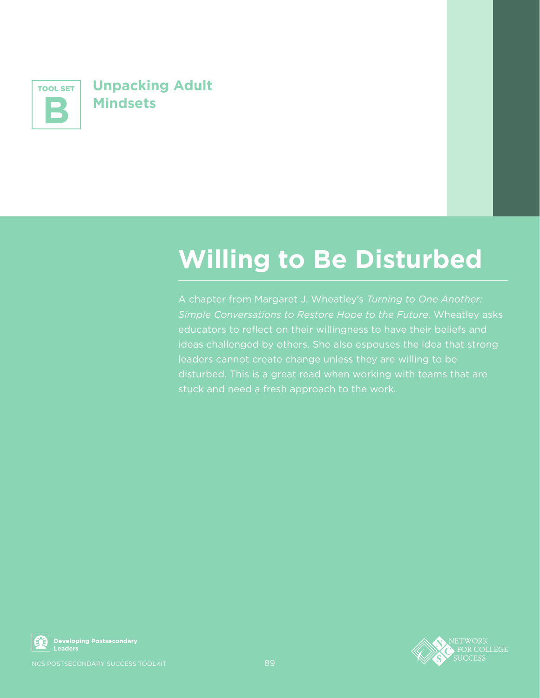

**NUMBER SET UNPACKING Adult**<br>
Mindsets<br>
Mindsets<br>
A chapt<br>
simple deducator<br>
dideas chapt<br>
dideas chapt<br>
disturbe<br>
stuck ar<br> **Mindsets**<br>
stuck ar<br>
Mindsets<br>
stuck ar<br>
Nus postsecondary<br>
Nus postsecondary<br>
Nus postsecondary **Mindsets**

## **Willing to Be Disturbed**

A chapter from Margaret J. Wheatley's *Turning to One Another: Simple Conversations to Restore Hope to the Future*. Wheatley asks educators to reflect on their willingness to have their beliefs and ideas challenged by others. She also espouses the idea that strong leaders cannot create change unless they are willing to be disturbed. This is a great read when working with teams that are stuck and need a fresh approach to the work.



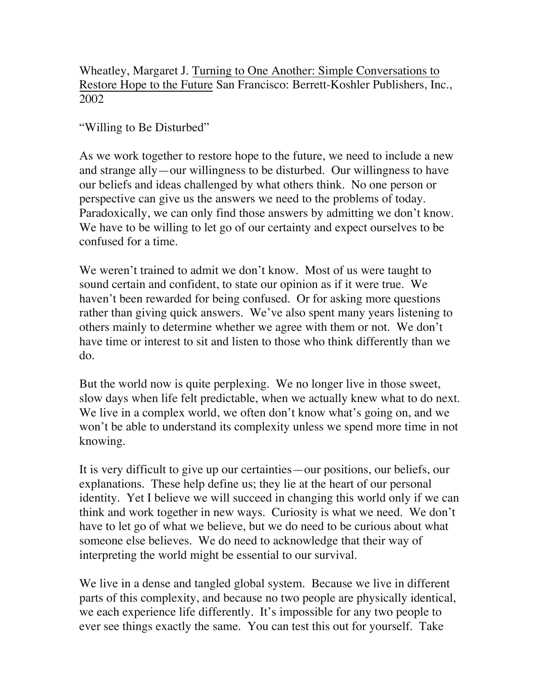Wheatley, Margaret J. Turning to One Another: Simple Conversations to Restore Hope to the Future San Francisco: Berrett-Koshler Publishers, Inc., 2002

"Willing to Be Disturbed"

As we work together to restore hope to the future, we need to include a new and strange ally—our willingness to be disturbed. Our willingness to have our beliefs and ideas challenged by what others think. No one person or perspective can give us the answers we need to the problems of today. Paradoxically, we can only find those answers by admitting we don't know. We have to be willing to let go of our certainty and expect ourselves to be confused for a time.

We weren't trained to admit we don't know. Most of us were taught to sound certain and confident, to state our opinion as if it were true. We haven't been rewarded for being confused. Or for asking more questions rather than giving quick answers. We've also spent many years listening to others mainly to determine whether we agree with them or not. We don't have time or interest to sit and listen to those who think differently than we do.

But the world now is quite perplexing. We no longer live in those sweet, slow days when life felt predictable, when we actually knew what to do next. We live in a complex world, we often don't know what's going on, and we won't be able to understand its complexity unless we spend more time in not knowing.

It is very difficult to give up our certainties—our positions, our beliefs, our explanations. These help define us; they lie at the heart of our personal identity. Yet I believe we will succeed in changing this world only if we can think and work together in new ways. Curiosity is what we need. We don't have to let go of what we believe, but we do need to be curious about what someone else believes. We do need to acknowledge that their way of interpreting the world might be essential to our survival.

We live in a dense and tangled global system. Because we live in different parts of this complexity, and because no two people are physically identical, we each experience life differently. It's impossible for any two people to ever see things exactly the same. You can test this out for yourself. Take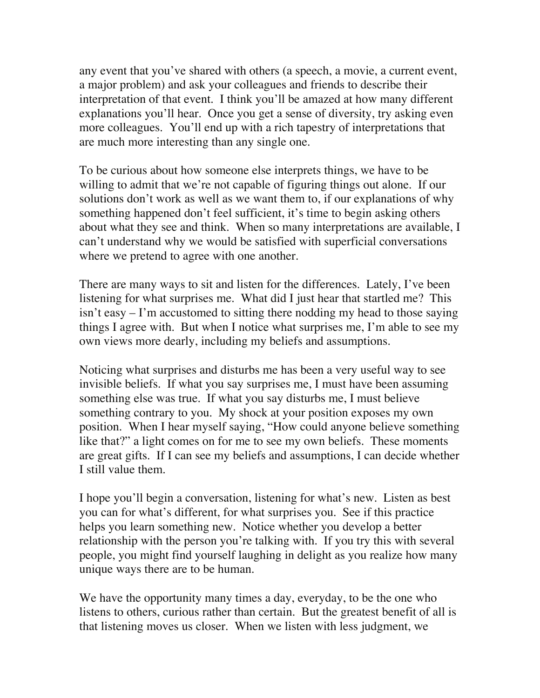any event that you've shared with others (a speech, a movie, a current event, a major problem) and ask your colleagues and friends to describe their interpretation of that event. I think you'll be amazed at how many different explanations you'll hear. Once you get a sense of diversity, try asking even more colleagues. You'll end up with a rich tapestry of interpretations that are much more interesting than any single one.

To be curious about how someone else interprets things, we have to be willing to admit that we're not capable of figuring things out alone. If our solutions don't work as well as we want them to, if our explanations of why something happened don't feel sufficient, it's time to begin asking others about what they see and think. When so many interpretations are available, I can't understand why we would be satisfied with superficial conversations where we pretend to agree with one another.

There are many ways to sit and listen for the differences. Lately, I've been listening for what surprises me. What did I just hear that startled me? This isn't easy – I'm accustomed to sitting there nodding my head to those saying things I agree with. But when I notice what surprises me, I'm able to see my own views more dearly, including my beliefs and assumptions.

Noticing what surprises and disturbs me has been a very useful way to see invisible beliefs. If what you say surprises me, I must have been assuming something else was true. If what you say disturbs me, I must believe something contrary to you. My shock at your position exposes my own position. When I hear myself saying, "How could anyone believe something like that?" a light comes on for me to see my own beliefs. These moments are great gifts. If I can see my beliefs and assumptions, I can decide whether I still value them.

I hope you'll begin a conversation, listening for what's new. Listen as best you can for what's different, for what surprises you. See if this practice helps you learn something new. Notice whether you develop a better relationship with the person you're talking with. If you try this with several people, you might find yourself laughing in delight as you realize how many unique ways there are to be human.

We have the opportunity many times a day, everyday, to be the one who listens to others, curious rather than certain. But the greatest benefit of all is that listening moves us closer. When we listen with less judgment, we